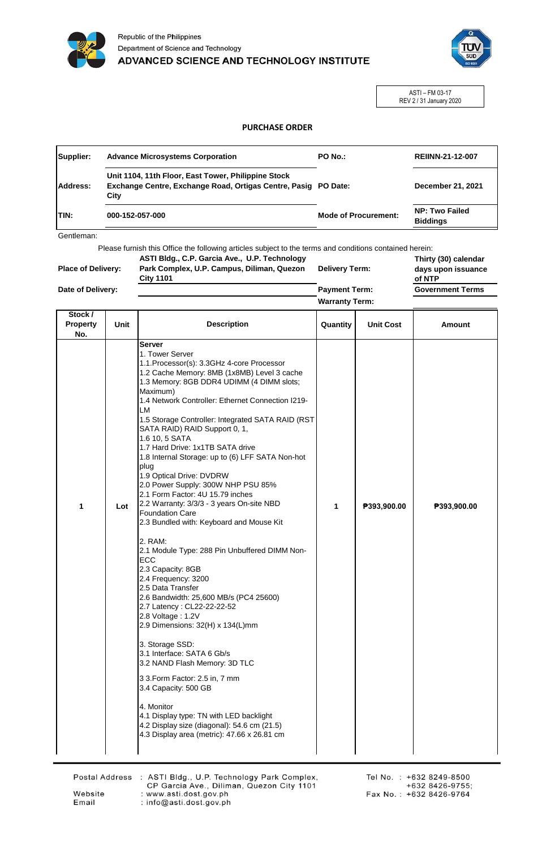



ASTI – FM 03-17 REV 2 / 31 January 2020

## **PURCHASE ORDER**

| Supplier:   | <b>Advance Microsystems Corporation</b>                                                                                       | <b>PO No.:</b>              | <b>REIINN-21-12-007</b>                  |
|-------------|-------------------------------------------------------------------------------------------------------------------------------|-----------------------------|------------------------------------------|
| Address:    | Unit 1104, 11th Floor, East Tower, Philippine Stock<br>Exchange Centre, Exchange Road, Ortigas Centre, Pasig PO Date:<br>City |                             | December 21, 2021                        |
| <b>TIN:</b> | 000-152-057-000                                                                                                               | <b>Mode of Procurement:</b> | <b>NP: Two Failed</b><br><b>Biddinas</b> |

Gentleman:

Please furnish this Office the following articles subject to the terms and conditions contained herein: **Thirty (30) calendar ASTI Bldg., C.P. Garcia Ave., U.P. Technology** 

| <b>Place of Delivery:</b> | ASTI Blug., C.P. Garcia Ave., O.P. Technology<br>Park Complex, U.P. Campus, Diliman, Quezon<br><b>City 1101</b> | <b>Delivery Term:</b> | Thirty (30) calendar<br>days upon issuance<br>of NTP |
|---------------------------|-----------------------------------------------------------------------------------------------------------------|-----------------------|------------------------------------------------------|
| Date of Delivery:         |                                                                                                                 | <b>Payment Term:</b>  | <b>Government Terms</b>                              |
|                           |                                                                                                                 | <b>Warranty Term:</b> |                                                      |

| Stock /<br><b>Property</b><br>No. | Unit | <b>Description</b>                                                                                                                                                                                                                                                                                                                                                                                                                                                                                                                                                                                                                                                                                                                                                                                                                                                                                                                                                                                                                                                                                                                                                                                                                                          | Quantity | <b>Unit Cost</b> | <b>Amount</b> |
|-----------------------------------|------|-------------------------------------------------------------------------------------------------------------------------------------------------------------------------------------------------------------------------------------------------------------------------------------------------------------------------------------------------------------------------------------------------------------------------------------------------------------------------------------------------------------------------------------------------------------------------------------------------------------------------------------------------------------------------------------------------------------------------------------------------------------------------------------------------------------------------------------------------------------------------------------------------------------------------------------------------------------------------------------------------------------------------------------------------------------------------------------------------------------------------------------------------------------------------------------------------------------------------------------------------------------|----------|------------------|---------------|
| 1                                 | Lot  | <b>Server</b><br>1. Tower Server<br>1.1. Processor(s): 3.3 GHz 4-core Processor<br>1.2 Cache Memory: 8MB (1x8MB) Level 3 cache<br>1.3 Memory: 8GB DDR4 UDIMM (4 DIMM slots;<br>Maximum)<br>1.4 Network Controller: Ethernet Connection I219-<br>LM<br>1.5 Storage Controller: Integrated SATA RAID (RST<br>SATA RAID) RAID Support 0, 1,<br>1.6 10, 5 SATA<br>1.7 Hard Drive: 1x1TB SATA drive<br>1.8 Internal Storage: up to (6) LFF SATA Non-hot<br>plug<br>1.9 Optical Drive: DVDRW<br>2.0 Power Supply: 300W NHP PSU 85%<br>2.1 Form Factor: 4U 15.79 inches<br>2.2 Warranty: 3/3/3 - 3 years On-site NBD<br><b>Foundation Care</b><br>2.3 Bundled with: Keyboard and Mouse Kit<br>2. RAM:<br>2.1 Module Type: 288 Pin Unbuffered DIMM Non-<br>ECC<br>2.3 Capacity: 8GB<br>2.4 Frequency: 3200<br>2.5 Data Transfer<br>2.6 Bandwidth: 25,600 MB/s (PC4 25600)<br>2.7 Latency: CL22-22-22-52<br>2.8 Voltage: 1.2V<br>2.9 Dimensions: 32(H) x 134(L)mm<br>3. Storage SSD:<br>3.1 Interface: SATA 6 Gb/s<br>3.2 NAND Flash Memory: 3D TLC<br>3 3. Form Factor: 2.5 in, 7 mm<br>3.4 Capacity: 500 GB<br>4. Monitor<br>4.1 Display type: TN with LED backlight<br>4.2 Display size (diagonal): 54.6 cm (21.5)<br>4.3 Display area (metric): 47.66 x 26.81 cm | 1        | P393,900.00      | ₱393,900.00   |